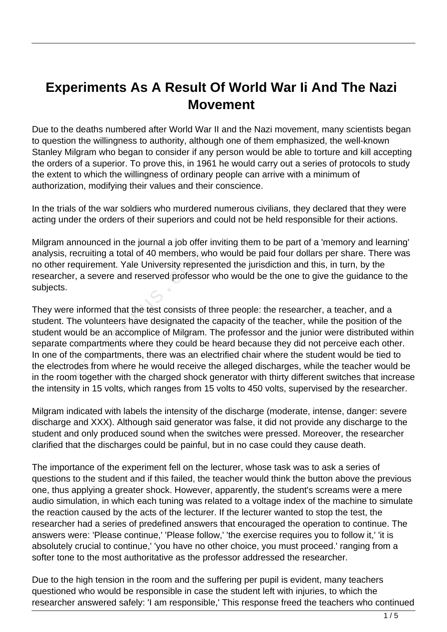## **Experiments As A Result Of World War Ii And The Nazi Movement**

Due to the deaths numbered after World War II and the Nazi movement, many scientists began to question the willingness to authority, although one of them emphasized, the well-known Stanley Milgram who began to consider if any person would be able to torture and kill accepting the orders of a superior. To prove this, in 1961 he would carry out a series of protocols to study the extent to which the willingness of ordinary people can arrive with a minimum of authorization, modifying their values and their conscience.

In the trials of the war soldiers who murdered numerous civilians, they declared that they were acting under the orders of their superiors and could not be held responsible for their actions.

Milgram announced in the journal a job offer inviting them to be part of a 'memory and learning' analysis, recruiting a total of 40 members, who would be paid four dollars per share. There was no other requirement. Yale University represented the jurisdiction and this, in turn, by the researcher, a severe and reserved professor who would be the one to give the guidance to the subjects.

They were informed that the test consists of three people: the researcher, a teacher, and a student. The volunteers have designated the capacity of the teacher, while the position of the student would be an accomplice of Milgram. The professor and the junior were distributed within separate compartments where they could be heard because they did not perceive each other. In one of the compartments, there was an electrified chair where the student would be tied to the electrodes from where he would receive the alleged discharges, while the teacher would be in the room together with the charged shock generator with thirty different switches that increase the intensity in 15 volts, which ranges from 15 volts to 450 volts, supervised by the researcher. ecruiting a total of 40 members, w<br>equirement. Yale University repres<br>r, a severe and reserved professo<br>informed that the test consists of<br>ne volunteers have designated the<br>puld be an accomplice of Milgram.<br>ompartments whe

Milgram indicated with labels the intensity of the discharge (moderate, intense, danger: severe discharge and XXX). Although said generator was false, it did not provide any discharge to the student and only produced sound when the switches were pressed. Moreover, the researcher clarified that the discharges could be painful, but in no case could they cause death.

The importance of the experiment fell on the lecturer, whose task was to ask a series of questions to the student and if this failed, the teacher would think the button above the previous one, thus applying a greater shock. However, apparently, the student's screams were a mere audio simulation, in which each tuning was related to a voltage index of the machine to simulate the reaction caused by the acts of the lecturer. If the lecturer wanted to stop the test, the researcher had a series of predefined answers that encouraged the operation to continue. The answers were: 'Please continue,' 'Please follow,' 'the exercise requires you to follow it,' 'it is absolutely crucial to continue,' 'you have no other choice, you must proceed.' ranging from a softer tone to the most authoritative as the professor addressed the researcher.

Due to the high tension in the room and the suffering per pupil is evident, many teachers questioned who would be responsible in case the student left with injuries, to which the researcher answered safely: 'I am responsible,' This response freed the teachers who continued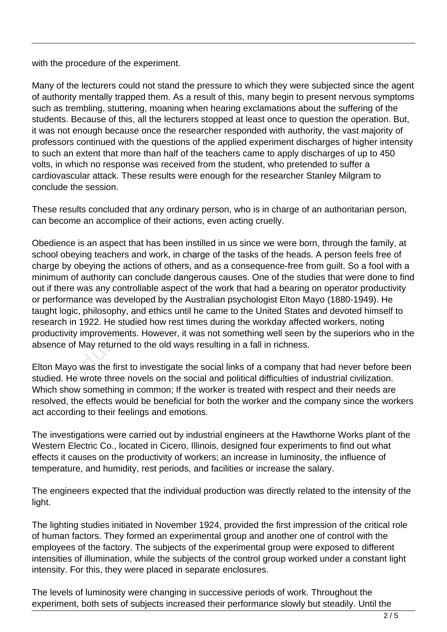with the procedure of the experiment.

Many of the lecturers could not stand the pressure to which they were subjected since the agent of authority mentally trapped them. As a result of this, many begin to present nervous symptoms such as trembling, stuttering, moaning when hearing exclamations about the suffering of the students. Because of this, all the lecturers stopped at least once to question the operation. But, it was not enough because once the researcher responded with authority, the vast majority of professors continued with the questions of the applied experiment discharges of higher intensity to such an extent that more than half of the teachers came to apply discharges of up to 450 volts, in which no response was received from the student, who pretended to suffer a cardiovascular attack. These results were enough for the researcher Stanley Milgram to conclude the session.

These results concluded that any ordinary person, who is in charge of an authoritarian person, can become an accomplice of their actions, even acting cruelly.

Obedience is an aspect that has been instilled in us since we were born, through the family, at school obeying teachers and work, in charge of the tasks of the heads. A person feels free of charge by obeying the actions of others, and as a consequence-free from guilt. So a fool with a minimum of authority can conclude dangerous causes. One of the studies that were done to find out if there was any controllable aspect of the work that had a bearing on operator productivity or performance was developed by the Australian psychologist Elton Mayo (1880-1949). He taught logic, philosophy, and ethics until he came to the United States and devoted himself to research in 1922. He studied how rest times during the workday affected workers, noting productivity improvements. However, it was not something well seen by the superiors who in the absence of May returned to the old ways resulting in a fall in richness. eying teachers and work, in charge<br>obeying the actions of others, and<br>of authority can conclude dangero<br>exas any controllable aspect of th<br>ance was developed by the Austra<br>c, philosophy, and ethics until he<br>of 1922. He stu

Elton Mayo was the first to investigate the social links of a company that had never before been studied. He wrote three novels on the social and political difficulties of industrial civilization. Which show something in common; If the worker is treated with respect and their needs are resolved, the effects would be beneficial for both the worker and the company since the workers act according to their feelings and emotions.

The investigations were carried out by industrial engineers at the Hawthorne Works plant of the Western Electric Co., located in Cicero, Illinois, designed four experiments to find out what effects it causes on the productivity of workers; an increase in luminosity, the influence of temperature, and humidity, rest periods, and facilities or increase the salary.

The engineers expected that the individual production was directly related to the intensity of the light.

The lighting studies initiated in November 1924, provided the first impression of the critical role of human factors. They formed an experimental group and another one of control with the employees of the factory. The subjects of the experimental group were exposed to different intensities of illumination, while the subjects of the control group worked under a constant light intensity. For this, they were placed in separate enclosures.

The levels of luminosity were changing in successive periods of work. Throughout the experiment, both sets of subjects increased their performance slowly but steadily. Until the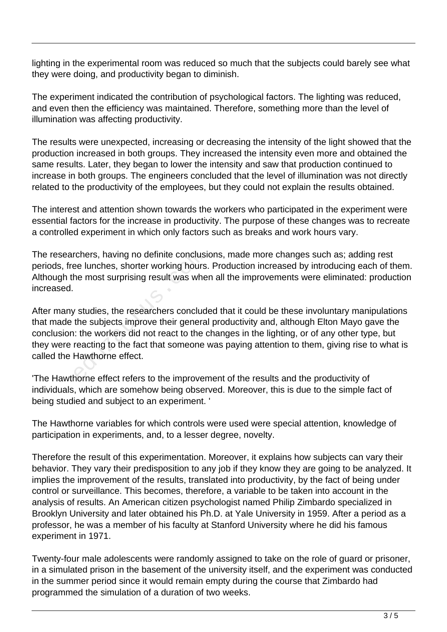lighting in the experimental room was reduced so much that the subjects could barely see what they were doing, and productivity began to diminish.

The experiment indicated the contribution of psychological factors. The lighting was reduced, and even then the efficiency was maintained. Therefore, something more than the level of illumination was affecting productivity.

The results were unexpected, increasing or decreasing the intensity of the light showed that the production increased in both groups. They increased the intensity even more and obtained the same results. Later, they began to lower the intensity and saw that production continued to increase in both groups. The engineers concluded that the level of illumination was not directly related to the productivity of the employees, but they could not explain the results obtained.

The interest and attention shown towards the workers who participated in the experiment were essential factors for the increase in productivity. The purpose of these changes was to recreate a controlled experiment in which only factors such as breaks and work hours vary.

The researchers, having no definite conclusions, made more changes such as; adding rest periods, free lunches, shorter working hours. Production increased by introducing each of them. Although the most surprising result was when all the improvements were eliminated: production increased.

After many studies, the researchers concluded that it could be these involuntary manipulations that made the subjects improve their general productivity and, although Elton Mayo gave the conclusion: the workers did not react to the changes in the lighting, or of any other type, but they were reacting to the fact that someone was paying attention to them, giving rise to what is called the Hawthorne effect. rchers, having no definite conclusi<br>be lunches, shorter working hours<br>he most surprising result was whe<br>v studies, the researchers conclud<br>the subjects improve their genera<br>i: the workers did not react to the reacting to t

'The Hawthorne effect refers to the improvement of the results and the productivity of individuals, which are somehow being observed. Moreover, this is due to the simple fact of being studied and subject to an experiment. '

The Hawthorne variables for which controls were used were special attention, knowledge of participation in experiments, and, to a lesser degree, novelty.

Therefore the result of this experimentation. Moreover, it explains how subjects can vary their behavior. They vary their predisposition to any job if they know they are going to be analyzed. It implies the improvement of the results, translated into productivity, by the fact of being under control or surveillance. This becomes, therefore, a variable to be taken into account in the analysis of results. An American citizen psychologist named Philip Zimbardo specialized in Brooklyn University and later obtained his Ph.D. at Yale University in 1959. After a period as a professor, he was a member of his faculty at Stanford University where he did his famous experiment in 1971.

Twenty-four male adolescents were randomly assigned to take on the role of guard or prisoner, in a simulated prison in the basement of the university itself, and the experiment was conducted in the summer period since it would remain empty during the course that Zimbardo had programmed the simulation of a duration of two weeks.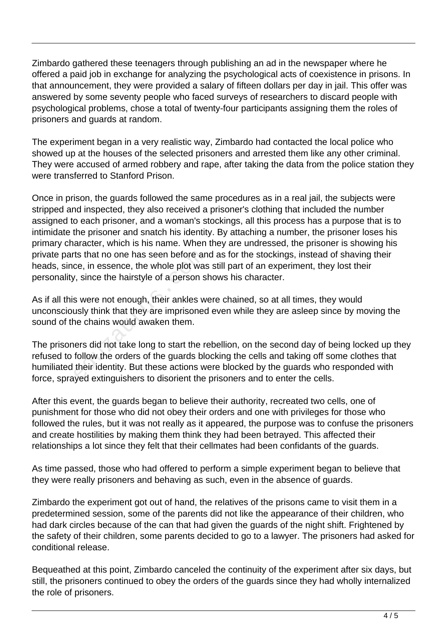Zimbardo gathered these teenagers through publishing an ad in the newspaper where he offered a paid job in exchange for analyzing the psychological acts of coexistence in prisons. In that announcement, they were provided a salary of fifteen dollars per day in jail. This offer was answered by some seventy people who faced surveys of researchers to discard people with psychological problems, chose a total of twenty-four participants assigning them the roles of prisoners and guards at random.

The experiment began in a very realistic way, Zimbardo had contacted the local police who showed up at the houses of the selected prisoners and arrested them like any other criminal. They were accused of armed robbery and rape, after taking the data from the police station they were transferred to Stanford Prison.

Once in prison, the guards followed the same procedures as in a real jail, the subjects were stripped and inspected, they also received a prisoner's clothing that included the number assigned to each prisoner, and a woman's stockings, all this process has a purpose that is to intimidate the prisoner and snatch his identity. By attaching a number, the prisoner loses his primary character, which is his name. When they are undressed, the prisoner is showing his private parts that no one has seen before and as for the stockings, instead of shaving their heads, since, in essence, the whole plot was still part of an experiment, they lost their personality, since the hairstyle of a person shows his character.

As if all this were not enough, their ankles were chained, so at all times, they would unconsciously think that they are imprisoned even while they are asleep since by moving the sound of the chains would awaken them.

The prisoners did not take long to start the rebellion, on the second day of being locked up they refused to follow the orders of the guards blocking the cells and taking off some clothes that humiliated their identity. But these actions were blocked by the guards who responded with force, sprayed extinguishers to disorient the prisoners and to enter the cells. ts that no one has seen before an<br>ce, in essence, the whole plot was<br>, since the hairstyle of a person s<br>s were not enough, their ankles w<br>usly think that they are imprisoned<br>ne chains would awaken them.<br>lers did not take

After this event, the guards began to believe their authority, recreated two cells, one of punishment for those who did not obey their orders and one with privileges for those who followed the rules, but it was not really as it appeared, the purpose was to confuse the prisoners and create hostilities by making them think they had been betrayed. This affected their relationships a lot since they felt that their cellmates had been confidants of the guards.

As time passed, those who had offered to perform a simple experiment began to believe that they were really prisoners and behaving as such, even in the absence of guards.

Zimbardo the experiment got out of hand, the relatives of the prisons came to visit them in a predetermined session, some of the parents did not like the appearance of their children, who had dark circles because of the can that had given the guards of the night shift. Frightened by the safety of their children, some parents decided to go to a lawyer. The prisoners had asked for conditional release.

Bequeathed at this point, Zimbardo canceled the continuity of the experiment after six days, but still, the prisoners continued to obey the orders of the guards since they had wholly internalized the role of prisoners.